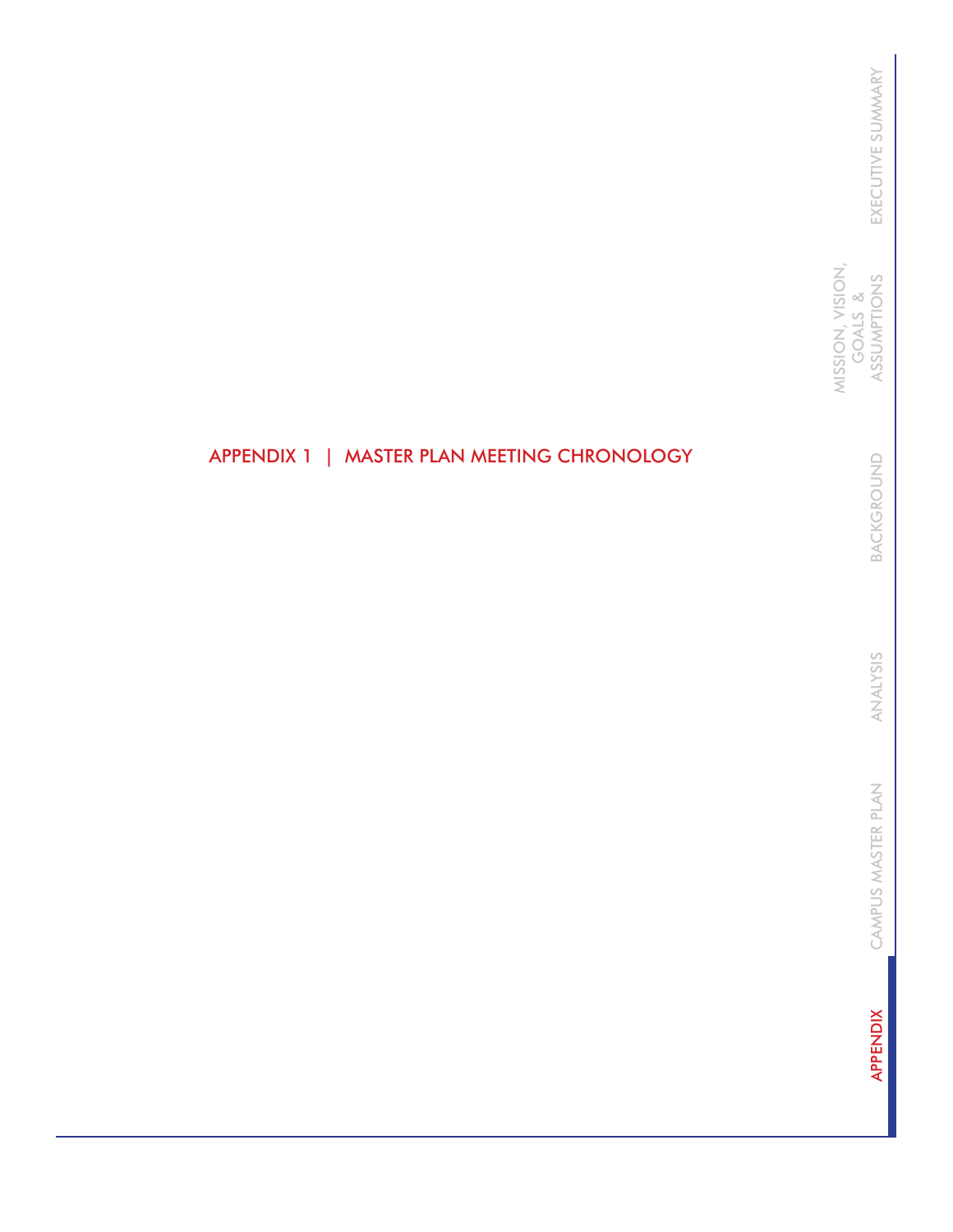MISSION, VISION, MISSION, VISION, GOALS & ASSUMPTIONS GOALS &

> BACKGROUND BACKGROUND

ANALYSIS ANALYSIS

CAMPUS MASTER PLAN CAMPUS MASTER PLAN

**APPENDIX** APPENDIX

## APPENDIX 1 | MASTER PLAN MEETING CHRONOLOGY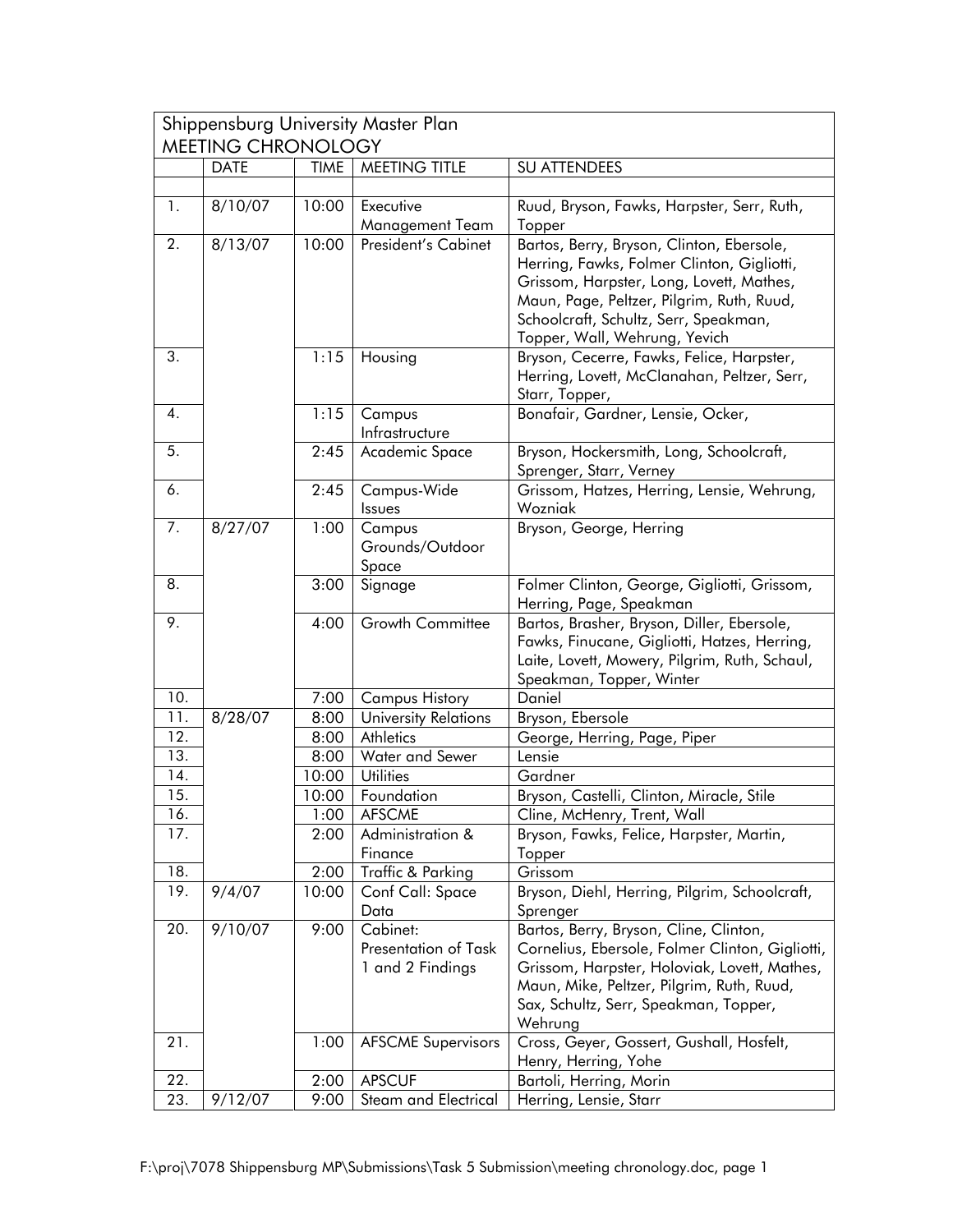| Shippensburg University Master Plan<br><b>MEETING CHRONOLOGY</b> |             |             |                                          |                                                                                                                                                                                                                                                            |
|------------------------------------------------------------------|-------------|-------------|------------------------------------------|------------------------------------------------------------------------------------------------------------------------------------------------------------------------------------------------------------------------------------------------------------|
|                                                                  | <b>DATE</b> | <b>TIME</b> | <b>MEETING TITLE</b>                     | <b>SU ATTENDEES</b>                                                                                                                                                                                                                                        |
|                                                                  |             |             |                                          |                                                                                                                                                                                                                                                            |
| 1.                                                               | 8/10/07     | 10:00       | Executive                                | Ruud, Bryson, Fawks, Harpster, Serr, Ruth,                                                                                                                                                                                                                 |
|                                                                  |             |             | Management Team                          | Topper                                                                                                                                                                                                                                                     |
| 2.                                                               | 8/13/07     | 10:00       | <b>President's Cabinet</b>               | Bartos, Berry, Bryson, Clinton, Ebersole,<br>Herring, Fawks, Folmer Clinton, Gigliotti,<br>Grissom, Harpster, Long, Lovett, Mathes,<br>Maun, Page, Peltzer, Pilgrim, Ruth, Ruud,<br>Schoolcraft, Schultz, Serr, Speakman,<br>Topper, Wall, Wehrung, Yevich |
| 3.                                                               |             | 1:15        | Housing                                  | Bryson, Cecerre, Fawks, Felice, Harpster,<br>Herring, Lovett, McClanahan, Peltzer, Serr,<br>Starr, Topper,                                                                                                                                                 |
| 4.                                                               |             | 1:15        | Campus<br>Infrastructure                 | Bonafair, Gardner, Lensie, Ocker,                                                                                                                                                                                                                          |
| 5.                                                               |             | 2:45        | Academic Space                           | Bryson, Hockersmith, Long, Schoolcraft,<br>Sprenger, Starr, Verney                                                                                                                                                                                         |
| 6.                                                               |             | 2:45        | Campus-Wide<br>Issues                    | Grissom, Hatzes, Herring, Lensie, Wehrung,<br>Wozniak                                                                                                                                                                                                      |
| 7.                                                               | 8/27/07     | 1:00        | Campus<br>Grounds/Outdoor<br>Space       | Bryson, George, Herring                                                                                                                                                                                                                                    |
| 8.                                                               |             | 3:00        | Signage                                  | Folmer Clinton, George, Gigliotti, Grissom,<br>Herring, Page, Speakman                                                                                                                                                                                     |
| 9.                                                               |             | 4:00        | Growth Committee                         | Bartos, Brasher, Bryson, Diller, Ebersole,<br>Fawks, Finucane, Gigliotti, Hatzes, Herring,<br>Laite, Lovett, Mowery, Pilgrim, Ruth, Schaul,<br>Speakman, Topper, Winter                                                                                    |
| 10.                                                              |             | 7:00        | <b>Campus History</b>                    | Daniel                                                                                                                                                                                                                                                     |
| 11.                                                              | 8/28/07     | 8:00        | <b>University Relations</b>              | Bryson, Ebersole                                                                                                                                                                                                                                           |
| 12.                                                              |             | 8:00        | Athletics                                | George, Herring, Page, Piper                                                                                                                                                                                                                               |
| 13.                                                              |             | 8:00        | Water and Sewer                          | Lensie                                                                                                                                                                                                                                                     |
| 14.                                                              |             | 10:00       | <b>Utilities</b>                         | Gardner                                                                                                                                                                                                                                                    |
| 15.                                                              |             | 10:00       | Foundation                               | Bryson, Castelli, Clinton, Miracle, Stile                                                                                                                                                                                                                  |
| 16.                                                              |             | 1:00        | <b>AFSCME</b>                            | Cline, McHenry, Trent, Wall                                                                                                                                                                                                                                |
| 17.                                                              |             | 2:00        | Administration &                         | Bryson, Fawks, Felice, Harpster, Martin,                                                                                                                                                                                                                   |
|                                                                  |             |             | Finance                                  | Topper                                                                                                                                                                                                                                                     |
| 18.                                                              |             | 2:00        | Traffic & Parking                        | Grissom                                                                                                                                                                                                                                                    |
| 19.                                                              | 9/4/07      | 10:00       | Conf Call: Space<br>Data                 | Bryson, Diehl, Herring, Pilgrim, Schoolcraft,<br>Sprenger                                                                                                                                                                                                  |
| 20.                                                              | 9/10/07     | 9:00        | Cabinet:                                 | Bartos, Berry, Bryson, Cline, Clinton,                                                                                                                                                                                                                     |
|                                                                  |             |             | Presentation of Task<br>1 and 2 Findings | Cornelius, Ebersole, Folmer Clinton, Gigliotti,<br>Grissom, Harpster, Holoviak, Lovett, Mathes,<br>Maun, Mike, Peltzer, Pilgrim, Ruth, Ruud,<br>Sax, Schultz, Serr, Speakman, Topper,<br>Wehrung                                                           |
| 21.                                                              |             | 1:00        | <b>AFSCME Supervisors</b>                | Cross, Geyer, Gossert, Gushall, Hosfelt,<br>Henry, Herring, Yohe                                                                                                                                                                                           |
| 22.                                                              |             | 2:00        | <b>APSCUF</b>                            | Bartoli, Herring, Morin                                                                                                                                                                                                                                    |
| 23.                                                              | 9/12/07     | 9:00        | Steam and Electrical                     | Herring, Lensie, Starr                                                                                                                                                                                                                                     |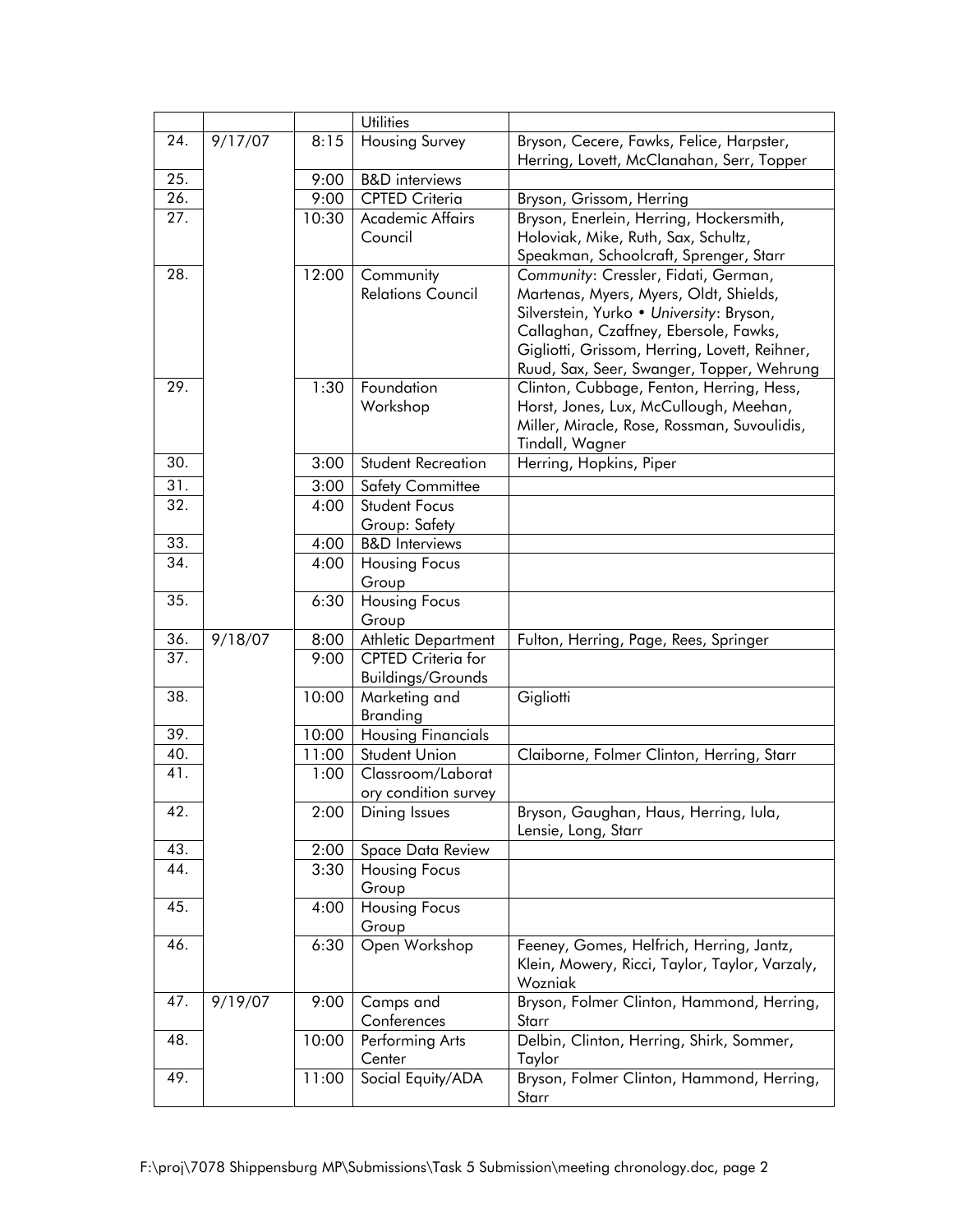|                          |         |              | <b>Utilities</b>                                 |                                                           |
|--------------------------|---------|--------------|--------------------------------------------------|-----------------------------------------------------------|
| 24.                      | 9/17/07 | 8:15         | Housing Survey                                   | Bryson, Cecere, Fawks, Felice, Harpster,                  |
|                          |         |              |                                                  | Herring, Lovett, McClanahan, Serr, Topper                 |
| 25.                      |         | 9:00         | <b>B&amp;D</b> interviews                        |                                                           |
| 26.                      |         | 9:00         | <b>CPTED Criteria</b>                            | Bryson, Grissom, Herring                                  |
| 27.                      |         | 10:30        | Academic Affairs                                 | Bryson, Enerlein, Herring, Hockersmith,                   |
|                          |         |              | Council                                          | Holoviak, Mike, Ruth, Sax, Schultz,                       |
|                          |         |              |                                                  | Speakman, Schoolcraft, Sprenger, Starr                    |
| 28.                      |         | 12:00        | Community                                        | Community: Cressler, Fidati, German,                      |
|                          |         |              | <b>Relations Council</b>                         | Martenas, Myers, Myers, Oldt, Shields,                    |
|                          |         |              |                                                  | Silverstein, Yurko • University: Bryson,                  |
|                          |         |              |                                                  | Callaghan, Czaffney, Ebersole, Fawks,                     |
|                          |         |              |                                                  | Gigliotti, Grissom, Herring, Lovett, Reihner,             |
|                          |         |              |                                                  | Ruud, Sax, Seer, Swanger, Topper, Wehrung                 |
| 29.                      |         | 1:30         | Foundation                                       | Clinton, Cubbage, Fenton, Herring, Hess,                  |
|                          |         |              | Workshop                                         | Horst, Jones, Lux, McCullough, Meehan,                    |
|                          |         |              |                                                  | Miller, Miracle, Rose, Rossman, Suvoulidis,               |
|                          |         |              |                                                  | Tindall, Wagner                                           |
| 30.                      |         | 3:00         | Student Recreation                               | Herring, Hopkins, Piper                                   |
| 31.                      |         | 3:00         | Safety Committee                                 |                                                           |
| 32.                      |         | 4:00         | <b>Student Focus</b>                             |                                                           |
|                          |         |              | Group: Safety                                    |                                                           |
| 33.                      |         | 4:00         | <b>B&amp;D</b> Interviews                        |                                                           |
| 34.                      |         | 4:00         | Housing Focus                                    |                                                           |
|                          |         |              | Group                                            |                                                           |
| 35.                      |         | 6:30         | <b>Housing Focus</b>                             |                                                           |
|                          |         |              | Group                                            |                                                           |
| 36.<br>$\overline{37}$ . | 9/18/07 | 8:00<br>9:00 | Athletic Department<br><b>CPTED Criteria for</b> | Fulton, Herring, Page, Rees, Springer                     |
|                          |         |              | <b>Buildings/Grounds</b>                         |                                                           |
| 38.                      |         | 10:00        | Marketing and                                    | Gigliotti                                                 |
|                          |         |              | <b>Branding</b>                                  |                                                           |
| 39.                      |         | 10:00        | <b>Housing Financials</b>                        |                                                           |
| 40.                      |         | 11:00        | Student Union                                    | Claiborne, Folmer Clinton, Herring, Starr                 |
| 41.                      |         | 1:00         | Classroom/Laborat                                |                                                           |
|                          |         |              | ory condition survey                             |                                                           |
| 42.                      |         | 2:00         | Dining Issues                                    | Bryson, Gaughan, Haus, Herring, Iula,                     |
|                          |         |              |                                                  | Lensie, Long, Starr                                       |
| 43.                      |         | 2:00         | Space Data Review                                |                                                           |
| 44.                      |         | 3:30         | Housing Focus                                    |                                                           |
|                          |         |              | Group                                            |                                                           |
| 45.                      |         | 4:00         | Housing Focus                                    |                                                           |
|                          |         |              | Group                                            |                                                           |
| 46.                      |         | 6:30         | Open Workshop                                    | Feeney, Gomes, Helfrich, Herring, Jantz,                  |
|                          |         |              |                                                  | Klein, Mowery, Ricci, Taylor, Taylor, Varzaly,<br>Wozniak |
| 47.                      | 9/19/07 | 9:00         | Camps and                                        | Bryson, Folmer Clinton, Hammond, Herring,                 |
|                          |         |              | Conferences                                      | Starr                                                     |
| 48.                      |         | 10:00        | Performing Arts                                  | Delbin, Clinton, Herring, Shirk, Sommer,                  |
|                          |         |              | Center                                           | Taylor                                                    |
| 49.                      |         | 11:00        | Social Equity/ADA                                | Bryson, Folmer Clinton, Hammond, Herring,                 |
|                          |         |              |                                                  | Starr                                                     |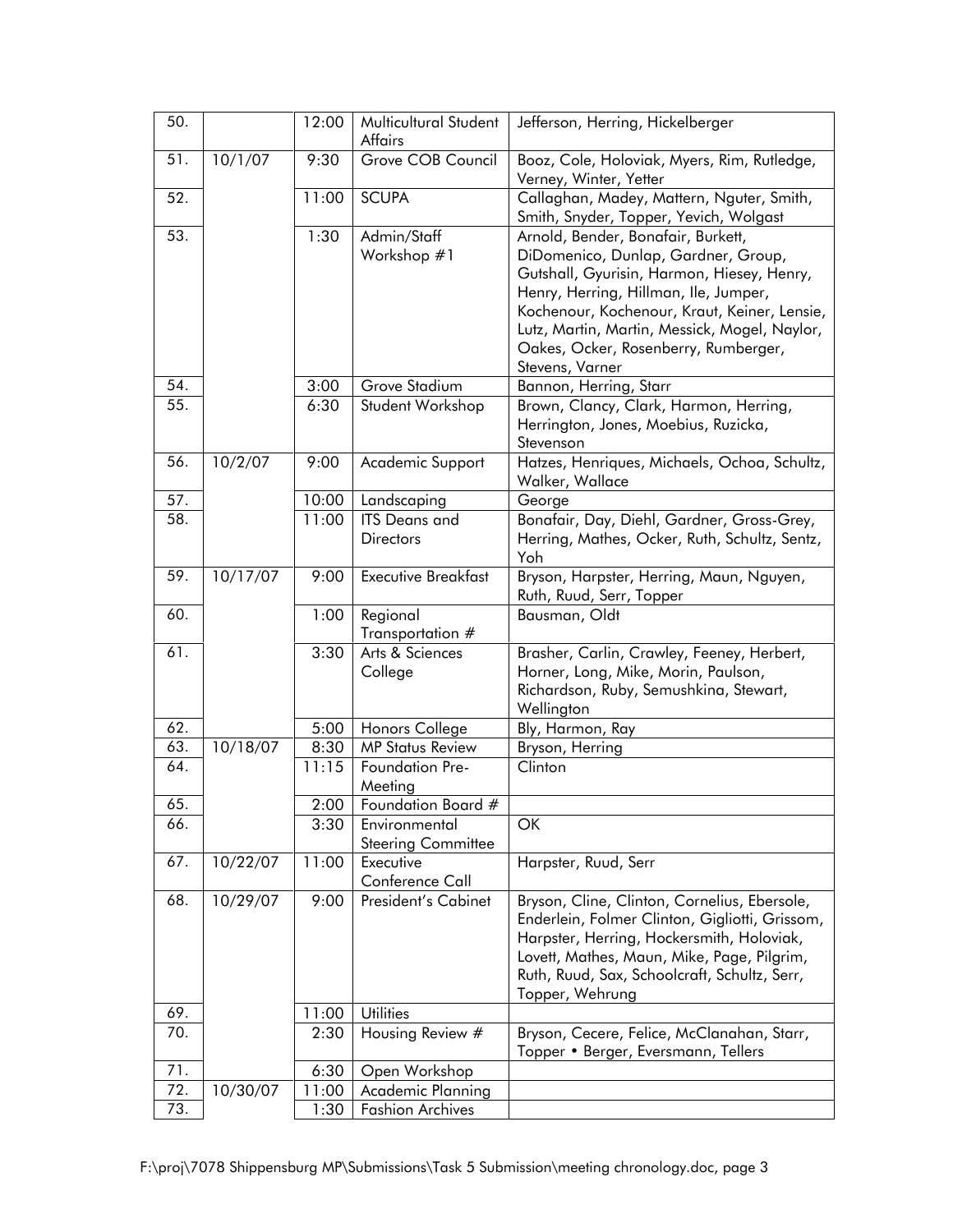| 50. |          | 12:00 | Multicultural Student      | Jefferson, Herring, Hickelberger                                                            |
|-----|----------|-------|----------------------------|---------------------------------------------------------------------------------------------|
|     |          |       | <b>Affairs</b>             |                                                                                             |
| 51. | 10/1/07  | 9:30  | Grove COB Council          | Booz, Cole, Holoviak, Myers, Rim, Rutledge,<br>Verney, Winter, Yetter                       |
| 52. |          | 11:00 | <b>SCUPA</b>               | Callaghan, Madey, Mattern, Nguter, Smith,<br>Smith, Snyder, Topper, Yevich, Wolgast         |
| 53. |          | 1:30  | Admin/Staff                | Arnold, Bender, Bonafair, Burkett,                                                          |
|     |          |       | Workshop #1                | DiDomenico, Dunlap, Gardner, Group,                                                         |
|     |          |       |                            | Gutshall, Gyurisin, Harmon, Hiesey, Henry,                                                  |
|     |          |       |                            | Henry, Herring, Hillman, Ile, Jumper,                                                       |
|     |          |       |                            | Kochenour, Kochenour, Kraut, Keiner, Lensie,                                                |
|     |          |       |                            | Lutz, Martin, Martin, Messick, Mogel, Naylor,                                               |
|     |          |       |                            | Oakes, Ocker, Rosenberry, Rumberger,                                                        |
|     |          |       |                            | Stevens, Varner                                                                             |
| 54. |          | 3:00  | Grove Stadium              | Bannon, Herring, Starr                                                                      |
| 55. |          | 6:30  | Student Workshop           | Brown, Clancy, Clark, Harmon, Herring,                                                      |
|     |          |       |                            | Herrington, Jones, Moebius, Ruzicka,                                                        |
|     |          |       |                            | Stevenson                                                                                   |
| 56. | 10/2/07  | 9:00  | Academic Support           | Hatzes, Henriques, Michaels, Ochoa, Schultz,<br>Walker, Wallace                             |
| 57. |          | 10:00 | Landscaping                |                                                                                             |
| 58. |          | 11:00 | <b>ITS</b> Deans and       | George<br>Bonafair, Day, Diehl, Gardner, Gross-Grey,                                        |
|     |          |       | <b>Directors</b>           | Herring, Mathes, Ocker, Ruth, Schultz, Sentz,                                               |
|     |          |       |                            | Yoh                                                                                         |
| 59. | 10/17/07 | 9:00  | <b>Executive Breakfast</b> | Bryson, Harpster, Herring, Maun, Nguyen,                                                    |
|     |          |       |                            | Ruth, Ruud, Serr, Topper                                                                    |
| 60. |          | 1:00  | Regional                   | Bausman, Oldt                                                                               |
|     |          |       | Transportation #           |                                                                                             |
| 61. |          | 3:30  | Arts & Sciences            | Brasher, Carlin, Crawley, Feeney, Herbert,                                                  |
|     |          |       | College                    | Horner, Long, Mike, Morin, Paulson,                                                         |
|     |          |       |                            | Richardson, Ruby, Semushkina, Stewart,                                                      |
|     |          |       |                            | Wellington                                                                                  |
| 62. |          | 5:00  | Honors College             | Bly, Harmon, Ray                                                                            |
| 63. | 10/18/07 | 8:30  | <b>MP Status Review</b>    | Bryson, Herring                                                                             |
| 64. |          | 11:15 | Foundation Pre-            | Clinton                                                                                     |
|     |          |       | Meeting                    |                                                                                             |
| 65  |          | 2:00  | Foundation Board #         |                                                                                             |
| 66. |          | 3:30  | Environmental              | OK                                                                                          |
|     |          |       | <b>Steering Committee</b>  |                                                                                             |
| 67. | 10/22/07 | 11:00 | Executive                  | Harpster, Ruud, Serr                                                                        |
|     |          |       | Conference Call            |                                                                                             |
| 68. | 10/29/07 | 9:00  | President's Cabinet        | Bryson, Cline, Clinton, Cornelius, Ebersole,                                                |
|     |          |       |                            | Enderlein, Folmer Clinton, Gigliotti, Grissom,<br>Harpster, Herring, Hockersmith, Holoviak, |
|     |          |       |                            | Lovett, Mathes, Maun, Mike, Page, Pilgrim,                                                  |
|     |          |       |                            | Ruth, Ruud, Sax, Schoolcraft, Schultz, Serr,                                                |
|     |          |       |                            | Topper, Wehrung                                                                             |
| 69. |          | 11:00 | <b>Utilities</b>           |                                                                                             |
| 70. |          | 2:30  | Housing Review #           | Bryson, Cecere, Felice, McClanahan, Starr,                                                  |
|     |          |       |                            | Topper • Berger, Eversmann, Tellers                                                         |
| 71. |          | 6:30  | Open Workshop              |                                                                                             |
| 72. | 10/30/07 | 11:00 | Academic Planning          |                                                                                             |
| 73. |          | 1:30  | <b>Fashion Archives</b>    |                                                                                             |